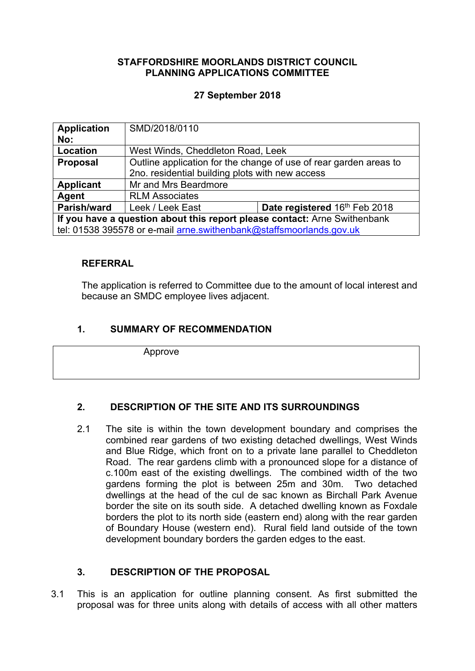#### **STAFFORDSHIRE MOORLANDS DISTRICT COUNCIL PLANNING APPLICATIONS COMMITTEE**

#### **27 September 2018**

| <b>Application</b>                                                        | SMD/2018/0110                                                     |                               |
|---------------------------------------------------------------------------|-------------------------------------------------------------------|-------------------------------|
| No:                                                                       |                                                                   |                               |
| Location                                                                  | West Winds, Cheddleton Road, Leek                                 |                               |
| <b>Proposal</b>                                                           | Outline application for the change of use of rear garden areas to |                               |
|                                                                           | 2no. residential building plots with new access                   |                               |
| <b>Applicant</b>                                                          | Mr and Mrs Beardmore                                              |                               |
| Agent                                                                     | <b>RLM Associates</b>                                             |                               |
| Parish/ward                                                               | Leek / Leek East                                                  | Date registered 16th Feb 2018 |
| If you have a question about this report please contact: Arne Swithenbank |                                                                   |                               |
| tel: 01538 395578 or e-mail arne.swithenbank@staffsmoorlands.gov.uk       |                                                                   |                               |

#### **REFERRAL**

The application is referred to Committee due to the amount of local interest and because an SMDC employee lives adjacent.

#### **1. SUMMARY OF RECOMMENDATION**

Approve

## **2. DESCRIPTION OF THE SITE AND ITS SURROUNDINGS**

2.1 The site is within the town development boundary and comprises the combined rear gardens of two existing detached dwellings, West Winds and Blue Ridge, which front on to a private lane parallel to Cheddleton Road. The rear gardens climb with a pronounced slope for a distance of c.100m east of the existing dwellings. The combined width of the two gardens forming the plot is between 25m and 30m. Two detached dwellings at the head of the cul de sac known as Birchall Park Avenue border the site on its south side. A detached dwelling known as Foxdale borders the plot to its north side (eastern end) along with the rear garden of Boundary House (western end). Rural field land outside of the town development boundary borders the garden edges to the east.

## **3. DESCRIPTION OF THE PROPOSAL**

3.1 This is an application for outline planning consent. As first submitted the proposal was for three units along with details of access with all other matters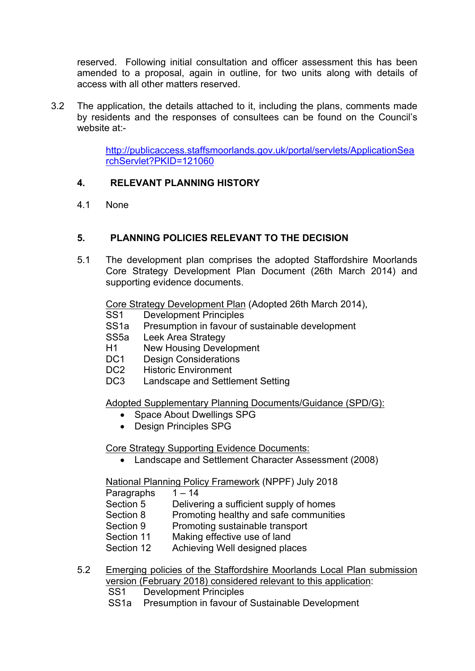reserved. Following initial consultation and officer assessment this has been amended to a proposal, again in outline, for two units along with details of access with all other matters reserved.

3.2 The application, the details attached to it, including the plans, comments made by residents and the responses of consultees can be found on the Council's website at:-

> [http://publicaccess.staffsmoorlands.gov.uk/portal/servlets/ApplicationSea](http://publicaccess.staffsmoorlands.gov.uk/portal/servlets/ApplicationSearchServlet?PKID=121060) [rchServlet?PKID=121060](http://publicaccess.staffsmoorlands.gov.uk/portal/servlets/ApplicationSearchServlet?PKID=121060)

## **4. RELEVANT PLANNING HISTORY**

4.1 None

## **5. PLANNING POLICIES RELEVANT TO THE DECISION**

5.1 The development plan comprises the adopted Staffordshire Moorlands Core Strategy Development Plan Document (26th March 2014) and supporting evidence documents.

Core Strategy Development Plan (Adopted 26th March 2014),

- SS1 Development Principles
- SS1a Presumption in favour of sustainable development
- SS5a Leek Area Strategy
- H1 New Housing Development
- DC1 Design Considerations
- DC2 Historic Environment
- DC3 Landscape and Settlement Setting

Adopted Supplementary Planning Documents/Guidance (SPD/G):

- Space About Dwellings SPG
- Design Principles SPG

Core Strategy Supporting Evidence Documents:

Landscape and Settlement Character Assessment (2008)

National Planning Policy Framework (NPPF) July 2018

Paragraphs  $1 - 14$ 

Section 5 Delivering a sufficient supply of homes

- Section 8 Promoting healthy and safe communities
- Section 9 Promoting sustainable transport
- Section 11 Making effective use of land

Section 12 Achieving Well designed places

- 5.2 Emerging policies of the Staffordshire Moorlands Local Plan submission version (February 2018) considered relevant to this application:
	- SS1 Development Principles
	- SS1a Presumption in favour of Sustainable Development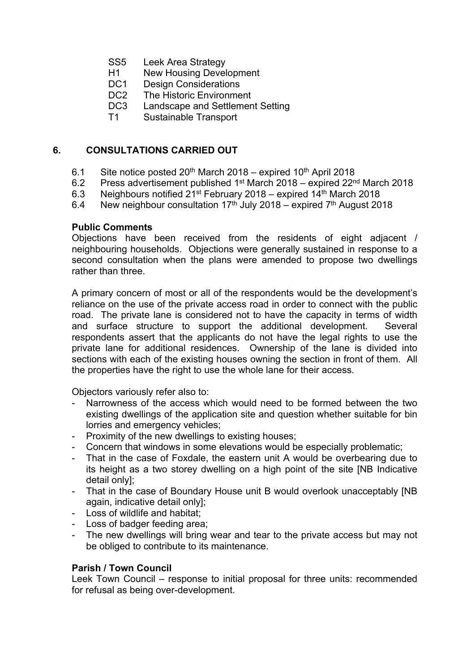- SS5 Leek Area Strategy
- H1 New Housing Development<br>DC1 Design Considerations
- Design Considerations
- DC2 The Historic Environment
- DC3 Landscape and Settlement Setting
- T1 Sustainable Transport

#### **6. CONSULTATIONS CARRIED OUT**

- 6.1 Site notice posted  $20^{th}$  March 2018 expired 10<sup>th</sup> April 2018
- 6.2 Press advertisement published 1<sup>st</sup> March 2018 expired 22<sup>nd</sup> March 2018
- 6.3 Neighbours notified  $21^{st}$  February 2018 expired 14<sup>th</sup> March 2018
- 6.4 New neighbour consultation  $17<sup>th</sup>$  July 2018 expired  $7<sup>th</sup>$  August 2018

#### **Public Comments**

Objections have been received from the residents of eight adjacent / neighbouring households. Objections were generally sustained in response to a second consultation when the plans were amended to propose two dwellings rather than three.

A primary concern of most or all of the respondents would be the development's reliance on the use of the private access road in order to connect with the public road. The private lane is considered not to have the capacity in terms of width and surface structure to support the additional development. Several respondents assert that the applicants do not have the legal rights to use the private lane for additional residences. Ownership of the lane is divided into sections with each of the existing houses owning the section in front of them. All the properties have the right to use the whole lane for their access.

Objectors variously refer also to:

- Narrowness of the access which would need to be formed between the two existing dwellings of the application site and question whether suitable for bin lorries and emergency vehicles;
- Proximity of the new dwellings to existing houses;
- Concern that windows in some elevations would be especially problematic;
- That in the case of Foxdale, the eastern unit A would be overbearing due to its height as a two storey dwelling on a high point of the site [NB Indicative detail only];
- That in the case of Boundary House unit B would overlook unacceptably [NB] again, indicative detail only];
- Loss of wildlife and habitat;
- Loss of badger feeding area;
- The new dwellings will bring wear and tear to the private access but may not be obliged to contribute to its maintenance.

#### **Parish / Town Council**

Leek Town Council – response to initial proposal for three units: recommended for refusal as being over-development.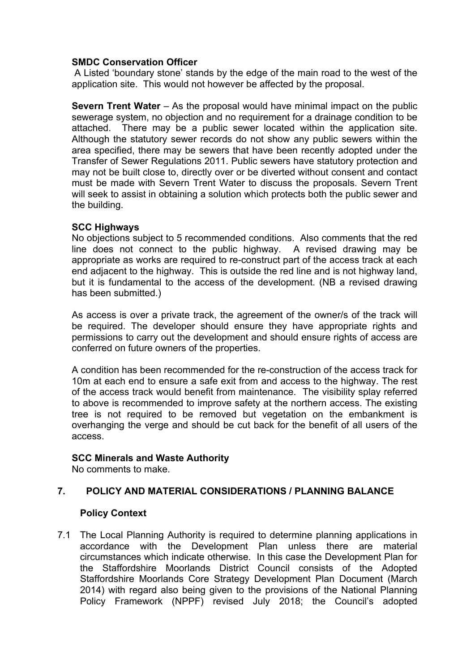#### **SMDC Conservation Officer**

A Listed 'boundary stone' stands by the edge of the main road to the west of the application site. This would not however be affected by the proposal.

**Severn Trent Water** – As the proposal would have minimal impact on the public sewerage system, no objection and no requirement for a drainage condition to be attached. There may be a public sewer located within the application site. Although the statutory sewer records do not show any public sewers within the area specified, there may be sewers that have been recently adopted under the Transfer of Sewer Regulations 2011. Public sewers have statutory protection and may not be built close to, directly over or be diverted without consent and contact must be made with Severn Trent Water to discuss the proposals. Severn Trent will seek to assist in obtaining a solution which protects both the public sewer and the building.

#### **SCC Highways**

No objections subject to 5 recommended conditions. Also comments that the red line does not connect to the public highway. A revised drawing may be appropriate as works are required to re-construct part of the access track at each end adjacent to the highway. This is outside the red line and is not highway land, but it is fundamental to the access of the development. (NB a revised drawing has been submitted.)

As access is over a private track, the agreement of the owner/s of the track will be required. The developer should ensure they have appropriate rights and permissions to carry out the development and should ensure rights of access are conferred on future owners of the properties.

A condition has been recommended for the re-construction of the access track for 10m at each end to ensure a safe exit from and access to the highway. The rest of the access track would benefit from maintenance. The visibility splay referred to above is recommended to improve safety at the northern access. The existing tree is not required to be removed but vegetation on the embankment is overhanging the verge and should be cut back for the benefit of all users of the access.

#### **SCC Minerals and Waste Authority**

No comments to make.

#### **7. POLICY AND MATERIAL CONSIDERATIONS / PLANNING BALANCE**

#### **Policy Context**

7.1 The Local Planning Authority is required to determine planning applications in accordance with the Development Plan unless there are material circumstances which indicate otherwise. In this case the Development Plan for the Staffordshire Moorlands District Council consists of the Adopted Staffordshire Moorlands Core Strategy Development Plan Document (March 2014) with regard also being given to the provisions of the National Planning Policy Framework (NPPF) revised July 2018; the Council's adopted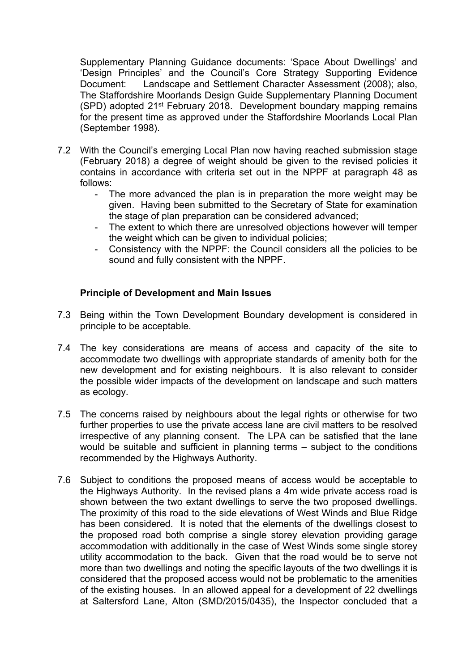Supplementary Planning Guidance documents: 'Space About Dwellings' and 'Design Principles' and the Council's Core Strategy Supporting Evidence Document: Landscape and Settlement Character Assessment (2008); also, The Staffordshire Moorlands Design Guide Supplementary Planning Document (SPD) adopted 21st February 2018. Development boundary mapping remains for the present time as approved under the Staffordshire Moorlands Local Plan (September 1998).

- 7.2 With the Council's emerging Local Plan now having reached submission stage (February 2018) a degree of weight should be given to the revised policies it contains in accordance with criteria set out in the NPPF at paragraph 48 as follows:
	- The more advanced the plan is in preparation the more weight may be given. Having been submitted to the Secretary of State for examination the stage of plan preparation can be considered advanced;
	- The extent to which there are unresolved objections however will temper the weight which can be given to individual policies;
	- Consistency with the NPPF: the Council considers all the policies to be sound and fully consistent with the NPPF.

#### **Principle of Development and Main Issues**

- 7.3 Being within the Town Development Boundary development is considered in principle to be acceptable.
- 7.4 The key considerations are means of access and capacity of the site to accommodate two dwellings with appropriate standards of amenity both for the new development and for existing neighbours. It is also relevant to consider the possible wider impacts of the development on landscape and such matters as ecology.
- 7.5 The concerns raised by neighbours about the legal rights or otherwise for two further properties to use the private access lane are civil matters to be resolved irrespective of any planning consent. The LPA can be satisfied that the lane would be suitable and sufficient in planning terms – subject to the conditions recommended by the Highways Authority.
- 7.6 Subject to conditions the proposed means of access would be acceptable to the Highways Authority. In the revised plans a 4m wide private access road is shown between the two extant dwellings to serve the two proposed dwellings. The proximity of this road to the side elevations of West Winds and Blue Ridge has been considered. It is noted that the elements of the dwellings closest to the proposed road both comprise a single storey elevation providing garage accommodation with additionally in the case of West Winds some single storey utility accommodation to the back. Given that the road would be to serve not more than two dwellings and noting the specific layouts of the two dwellings it is considered that the proposed access would not be problematic to the amenities of the existing houses. In an allowed appeal for a development of 22 dwellings at Saltersford Lane, Alton (SMD/2015/0435), the Inspector concluded that a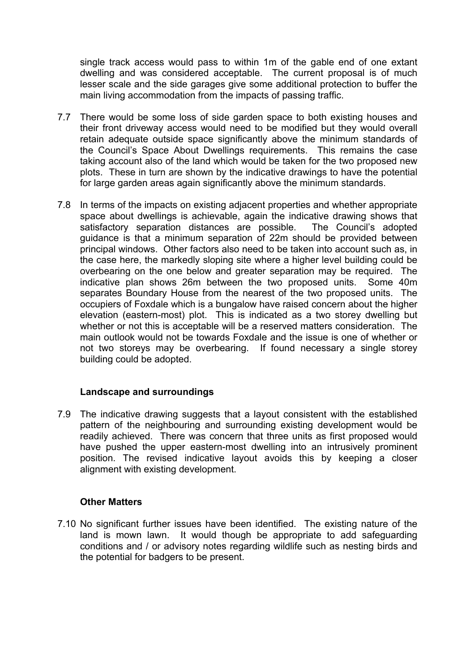single track access would pass to within 1m of the gable end of one extant dwelling and was considered acceptable. The current proposal is of much lesser scale and the side garages give some additional protection to buffer the main living accommodation from the impacts of passing traffic.

- 7.7 There would be some loss of side garden space to both existing houses and their front driveway access would need to be modified but they would overall retain adequate outside space significantly above the minimum standards of the Council's Space About Dwellings requirements. This remains the case taking account also of the land which would be taken for the two proposed new plots. These in turn are shown by the indicative drawings to have the potential for large garden areas again significantly above the minimum standards.
- 7.8 In terms of the impacts on existing adjacent properties and whether appropriate space about dwellings is achievable, again the indicative drawing shows that satisfactory separation distances are possible. The Council's adopted guidance is that a minimum separation of 22m should be provided between principal windows. Other factors also need to be taken into account such as, in the case here, the markedly sloping site where a higher level building could be overbearing on the one below and greater separation may be required. The indicative plan shows 26m between the two proposed units. Some 40m separates Boundary House from the nearest of the two proposed units. The occupiers of Foxdale which is a bungalow have raised concern about the higher elevation (eastern-most) plot. This is indicated as a two storey dwelling but whether or not this is acceptable will be a reserved matters consideration. The main outlook would not be towards Foxdale and the issue is one of whether or not two storeys may be overbearing. If found necessary a single storey building could be adopted.

## **Landscape and surroundings**

7.9 The indicative drawing suggests that a layout consistent with the established pattern of the neighbouring and surrounding existing development would be readily achieved. There was concern that three units as first proposed would have pushed the upper eastern-most dwelling into an intrusively prominent position. The revised indicative layout avoids this by keeping a closer alignment with existing development.

#### **Other Matters**

7.10 No significant further issues have been identified. The existing nature of the land is mown lawn. It would though be appropriate to add safeguarding conditions and / or advisory notes regarding wildlife such as nesting birds and the potential for badgers to be present.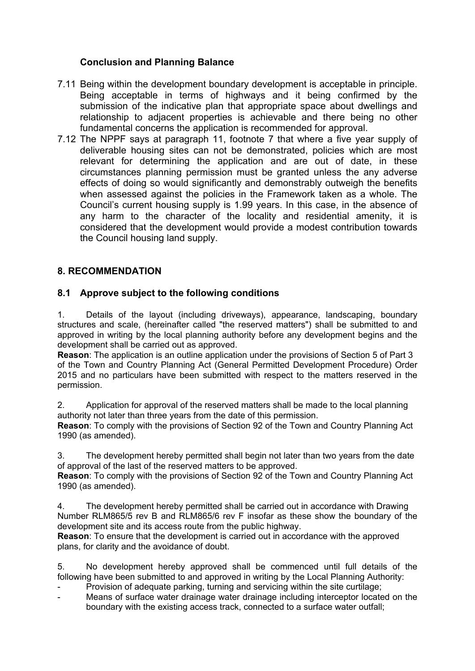## **Conclusion and Planning Balance**

- 7.11 Being within the development boundary development is acceptable in principle. Being acceptable in terms of highways and it being confirmed by the submission of the indicative plan that appropriate space about dwellings and relationship to adjacent properties is achievable and there being no other fundamental concerns the application is recommended for approval.
- 7.12 The NPPF says at paragraph 11, footnote 7 that where a five year supply of deliverable housing sites can not be demonstrated, policies which are most relevant for determining the application and are out of date, in these circumstances planning permission must be granted unless the any adverse effects of doing so would significantly and demonstrably outweigh the benefits when assessed against the policies in the Framework taken as a whole. The Council's current housing supply is 1.99 years. In this case, in the absence of any harm to the character of the locality and residential amenity, it is considered that the development would provide a modest contribution towards the Council housing land supply.

#### **8. RECOMMENDATION**

#### **8.1 Approve subject to the following conditions**

1. Details of the layout (including driveways), appearance, landscaping, boundary structures and scale, (hereinafter called "the reserved matters") shall be submitted to and approved in writing by the local planning authority before any development begins and the development shall be carried out as approved.

**Reason**: The application is an outline application under the provisions of Section 5 of Part 3 of the Town and Country Planning Act (General Permitted Development Procedure) Order 2015 and no particulars have been submitted with respect to the matters reserved in the permission.

2. Application for approval of the reserved matters shall be made to the local planning authority not later than three years from the date of this permission.

**Reason**: To comply with the provisions of Section 92 of the Town and Country Planning Act 1990 (as amended).

3. The development hereby permitted shall begin not later than two years from the date of approval of the last of the reserved matters to be approved.

**Reason**: To comply with the provisions of Section 92 of the Town and Country Planning Act 1990 (as amended).

4. The development hereby permitted shall be carried out in accordance with Drawing Number RLM865/5 rev B and RLM865/6 rev F insofar as these show the boundary of the development site and its access route from the public highway.

**Reason**: To ensure that the development is carried out in accordance with the approved plans, for clarity and the avoidance of doubt.

5. No development hereby approved shall be commenced until full details of the following have been submitted to and approved in writing by the Local Planning Authority:

- Provision of adequate parking, turning and servicing within the site curtilage;
- Means of surface water drainage water drainage including interceptor located on the boundary with the existing access track, connected to a surface water outfall;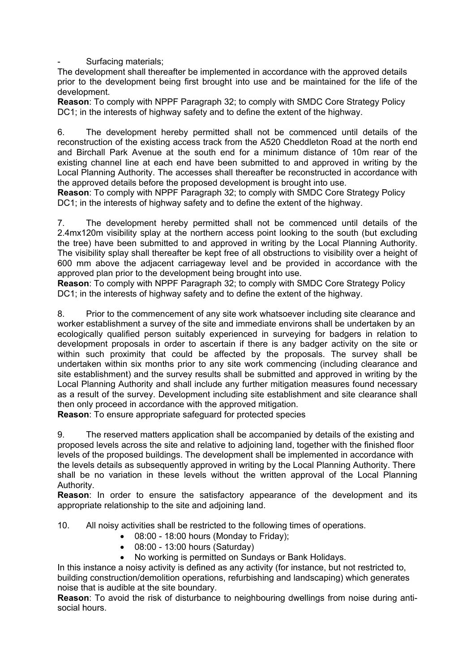- Surfacing materials;

The development shall thereafter be implemented in accordance with the approved details prior to the development being first brought into use and be maintained for the life of the development.

**Reason**: To comply with NPPF Paragraph 32; to comply with SMDC Core Strategy Policy DC1; in the interests of highway safety and to define the extent of the highway.

6. The development hereby permitted shall not be commenced until details of the reconstruction of the existing access track from the A520 Cheddleton Road at the north end and Birchall Park Avenue at the south end for a minimum distance of 10m rear of the existing channel line at each end have been submitted to and approved in writing by the Local Planning Authority. The accesses shall thereafter be reconstructed in accordance with the approved details before the proposed development is brought into use.

**Reason**: To comply with NPPF Paragraph 32; to comply with SMDC Core Strategy Policy DC1; in the interests of highway safety and to define the extent of the highway.

7. The development hereby permitted shall not be commenced until details of the 2.4mx120m visibility splay at the northern access point looking to the south (but excluding the tree) have been submitted to and approved in writing by the Local Planning Authority. The visibility splay shall thereafter be kept free of all obstructions to visibility over a height of 600 mm above the adjacent carriageway level and be provided in accordance with the approved plan prior to the development being brought into use.

**Reason**: To comply with NPPF Paragraph 32; to comply with SMDC Core Strategy Policy DC1; in the interests of highway safety and to define the extent of the highway.

8. Prior to the commencement of any site work whatsoever including site clearance and worker establishment a survey of the site and immediate environs shall be undertaken by an ecologically qualified person suitably experienced in surveying for badgers in relation to development proposals in order to ascertain if there is any badger activity on the site or within such proximity that could be affected by the proposals. The survey shall be undertaken within six months prior to any site work commencing (including clearance and site establishment) and the survey results shall be submitted and approved in writing by the Local Planning Authority and shall include any further mitigation measures found necessary as a result of the survey. Development including site establishment and site clearance shall then only proceed in accordance with the approved mitigation.

**Reason**: To ensure appropriate safeguard for protected species

9. The reserved matters application shall be accompanied by details of the existing and proposed levels across the site and relative to adjoining land, together with the finished floor levels of the proposed buildings. The development shall be implemented in accordance with the levels details as subsequently approved in writing by the Local Planning Authority. There shall be no variation in these levels without the written approval of the Local Planning Authority.

**Reason**: In order to ensure the satisfactory appearance of the development and its appropriate relationship to the site and adjoining land.

10. All noisy activities shall be restricted to the following times of operations.

- 08:00 18:00 hours (Monday to Friday);
- 08:00 13:00 hours (Saturday)
- No working is permitted on Sundays or Bank Holidays.

In this instance a noisy activity is defined as any activity (for instance, but not restricted to, building construction/demolition operations, refurbishing and landscaping) which generates noise that is audible at the site boundary.

**Reason**: To avoid the risk of disturbance to neighbouring dwellings from noise during antisocial hours.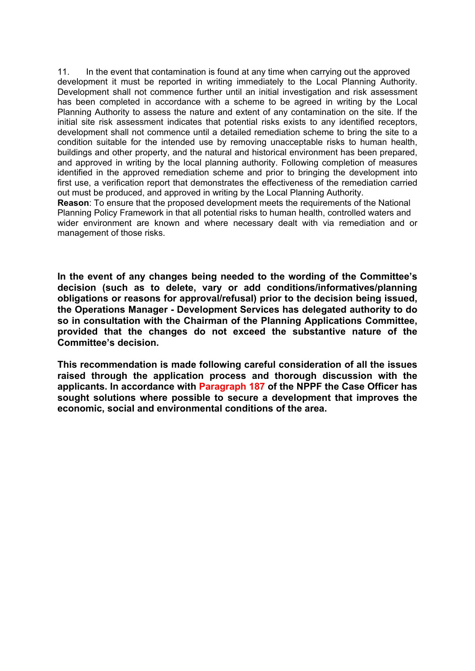11. In the event that contamination is found at any time when carrying out the approved development it must be reported in writing immediately to the Local Planning Authority. Development shall not commence further until an initial investigation and risk assessment has been completed in accordance with a scheme to be agreed in writing by the Local Planning Authority to assess the nature and extent of any contamination on the site. If the initial site risk assessment indicates that potential risks exists to any identified receptors, development shall not commence until a detailed remediation scheme to bring the site to a condition suitable for the intended use by removing unacceptable risks to human health, buildings and other property, and the natural and historical environment has been prepared, and approved in writing by the local planning authority. Following completion of measures identified in the approved remediation scheme and prior to bringing the development into first use, a verification report that demonstrates the effectiveness of the remediation carried out must be produced, and approved in writing by the Local Planning Authority.

**Reason**: To ensure that the proposed development meets the requirements of the National Planning Policy Framework in that all potential risks to human health, controlled waters and wider environment are known and where necessary dealt with via remediation and or management of those risks.

**In the event of any changes being needed to the wording of the Committee's decision (such as to delete, vary or add conditions/informatives/planning obligations or reasons for approval/refusal) prior to the decision being issued, the Operations Manager - Development Services has delegated authority to do so in consultation with the Chairman of the Planning Applications Committee, provided that the changes do not exceed the substantive nature of the Committee's decision.**

**This recommendation is made following careful consideration of all the issues raised through the application process and thorough discussion with the applicants. In accordance with Paragraph 187 of the NPPF the Case Officer has sought solutions where possible to secure a development that improves the economic, social and environmental conditions of the area.**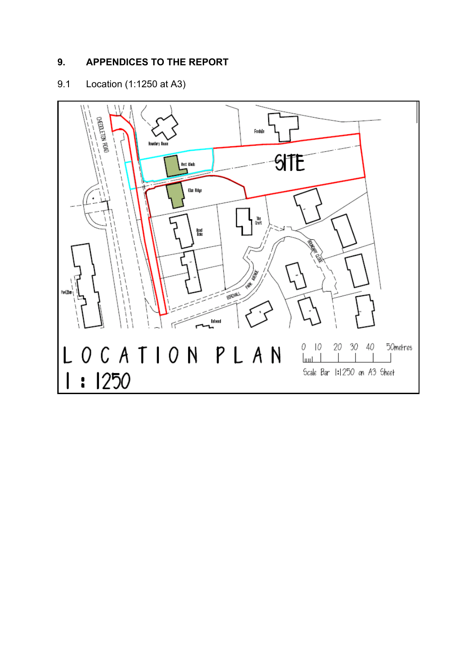## **9. APPENDICES TO THE REPORT**

## 9.1 Location (1:1250 at A3)